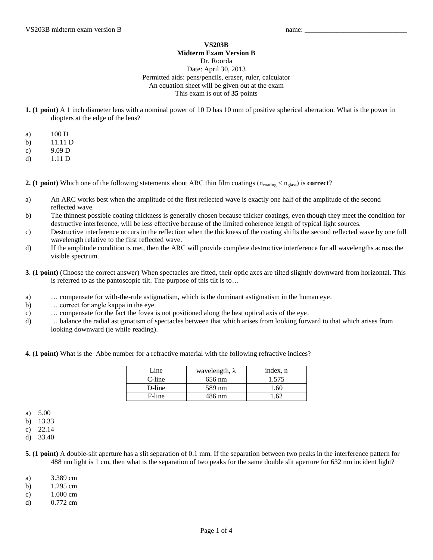## **VS203B Midterm Exam Version B**

## Dr. Roorda Date: April 30, 2013 Permitted aids: pens/pencils, eraser, ruler, calculator An equation sheet will be given out at the exam This exam is out of **35** points

- **1. (1 point)** A 1 inch diameter lens with a nominal power of 10 D has 10 mm of positive spherical aberration. What is the power in diopters at the edge of the lens?
- a) 100 D
- b) 11.11 D
- c) 9.09 D
- d) 1.11 D

**2. (1 point)** Which one of the following statements about ARC thin film coatings  $(n_{\text{coating}} < n_{\text{glass}})$  is **correct**?

- a) An ARC works best when the amplitude of the first reflected wave is exactly one half of the amplitude of the second reflected wave.
- b) The thinnest possible coating thickness is generally chosen because thicker coatings, even though they meet the condition for destructive interference, will be less effective because of the limited coherence length of typical light sources.
- c) Destructive interference occurs in the reflection when the thickness of the coating shifts the second reflected wave by one full wavelength relative to the first reflected wave.
- d) If the amplitude condition is met, then the ARC will provide complete destructive interference for all wavelengths across the visible spectrum.
- **3**. **(1 point)** (Choose the correct answer) When spectacles are fitted, their optic axes are tilted slightly downward from horizontal. This is referred to as the pantoscopic tilt. The purpose of this tilt is to…
- a) … compensate for with-the-rule astigmatism, which is the dominant astigmatism in the human eye.
- b) … correct for angle kappa in the eye.
- c) … compensate for the fact the fovea is not positioned along the best optical axis of the eye.
- d) … balance the radial astigmatism of spectacles between that which arises from looking forward to that which arises from looking downward (ie while reading).

**4. (1 point)** What is the Abbe number for a refractive material with the following refractive indices?

| Line   | wavelength, $\lambda$ | index, n |
|--------|-----------------------|----------|
| C-line | 656 nm                | 1.575    |
| D-line | 589 nm                | 1.60     |
| F-line | 486 nm                | -62      |

- a) 5.00
- b) 13.33
- c) 22.14
- d) 33.40
- **5. (1 point)** A double-slit aperture has a slit separation of 0.1 mm. If the separation between two peaks in the interference pattern for 488 nm light is 1 cm, then what is the separation of two peaks for the same double slit aperture for 632 nm incident light?
- a) 3.389 cm
- b) 1.295 cm
- c) 1.000 cm
- d) 0.772 cm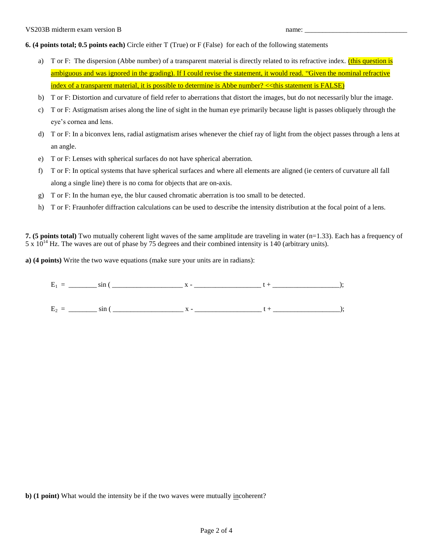**6. (4 points total; 0.5 points each)** Circle either T (True) or F (False) for each of the following statements

- a) T or F: The dispersion (Abbe number) of a transparent material is directly related to its refractive index. (this question is ambiguous and was ignored in the grading). If I could revise the statement, it would read. "Given the nominal refractive index of a transparent material, it is possible to determine is Abbe number? << this statement is FALSE)
- b) T or F: Distortion and curvature of field refer to aberrations that distort the images, but do not necessarily blur the image.
- c) T or F: Astigmatism arises along the line of sight in the human eye primarily because light is passes obliquely through the eye's cornea and lens.
- d) T or F: In a biconvex lens, radial astigmatism arises whenever the chief ray of light from the object passes through a lens at an angle.
- e) T or F: Lenses with spherical surfaces do not have spherical aberration.
- f) T or F: In optical systems that have spherical surfaces and where all elements are aligned (ie centers of curvature all fall along a single line) there is no coma for objects that are on-axis.
- g) T or F: In the human eye, the blur caused chromatic aberration is too small to be detected.
- h) T or F: Fraunhofer diffraction calculations can be used to describe the intensity distribution at the focal point of a lens.

**7. (5 points total)** Two mutually coherent light waves of the same amplitude are traveling in water (n=1.33). Each has a frequency of  $5 \times 10^{14}$  Hz. The waves are out of phase by 75 degrees and their combined intensity is 140 (arbitrary units).

**a) (4 points)** Write the two wave equations (make sure your units are in radians):

| --<br>∸<br>ິ |
|--------------|
|--------------|

E2 = \_\_\_\_\_\_\_\_ sin ( \_\_\_\_\_\_\_\_\_\_\_\_\_\_\_\_\_\_\_\_ x - \_\_\_\_\_\_\_\_\_\_\_\_\_\_\_\_\_\_\_ t + \_\_\_\_\_\_\_\_\_\_\_\_\_\_\_\_\_\_\_);

**b) (1 point)** What would the intensity be if the two waves were mutually incoherent?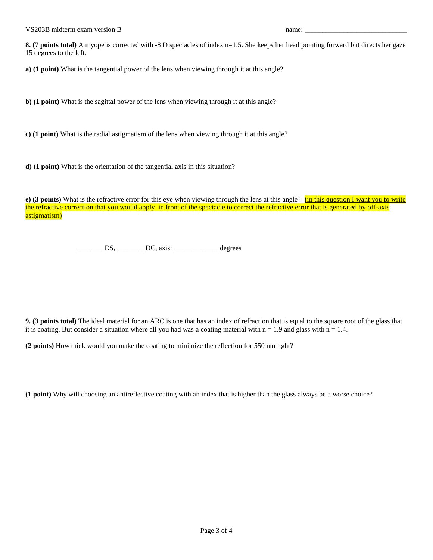**8.** (7 **points total**) A myope is corrected with -8 D spectacles of index n=1.5. She keeps her head pointing forward but directs her gaze 15 degrees to the left.

**a) (1 point)** What is the tangential power of the lens when viewing through it at this angle?

**b) (1 point)** What is the sagittal power of the lens when viewing through it at this angle?

**c) (1 point)** What is the radial astigmatism of the lens when viewing through it at this angle?

**d) (1 point)** What is the orientation of the tangential axis in this situation?

**e) (3 points)** What is the refractive error for this eye when viewing through the lens at this angle? **(in this question I want you to write** the refractive correction that you would apply in front of the spectacle to correct the refractive error that is generated by off-axis astigmatism)

 $DS, \_\_\_\_DC, axis: \_\_\_\_\_degree$  degrees

**9. (3 points total)** The ideal material for an ARC is one that has an index of refraction that is equal to the square root of the glass that it is coating. But consider a situation where all you had was a coating material with  $n = 1.9$  and glass with  $n = 1.4$ .

**(2 points)** How thick would you make the coating to minimize the reflection for 550 nm light?

**(1 point)** Why will choosing an antireflective coating with an index that is higher than the glass always be a worse choice?